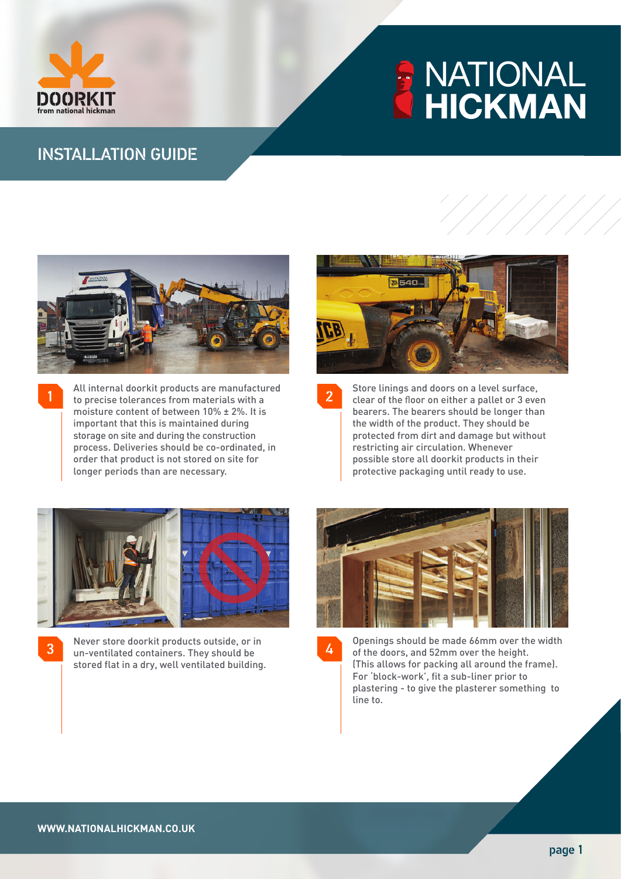

1

# **ANATIONAL**<br>MHICKMAN

## INSTALLATION GUIDE



All internal doorkit products are manufactured to precise tolerances from materials with a moisture content of between 10% ± 2%. It is important that this is maintained during storage on site and during the construction process. Deliveries should be co-ordinated, in order that product is not stored on site for longer periods than are necessary.



Store linings and doors on a level surface, clear of the floor on either a pallet or 3 even bearers. The bearers should be longer than the width of the product. They should be protected from dirt and damage but without restricting air circulation. Whenever possible store all doorkit products in their protective packaging until ready to use.

2



Never store doorkit products outside, or in un-ventilated containers. They should be stored flat in a dry, well ventilated building. 3



Openings should be made 66mm over the width of the doors, and 52mm over the height. (This allows for packing all around the frame). For 'block-work', fit a sub-liner prior to plastering - to give the plasterer something to line to. 4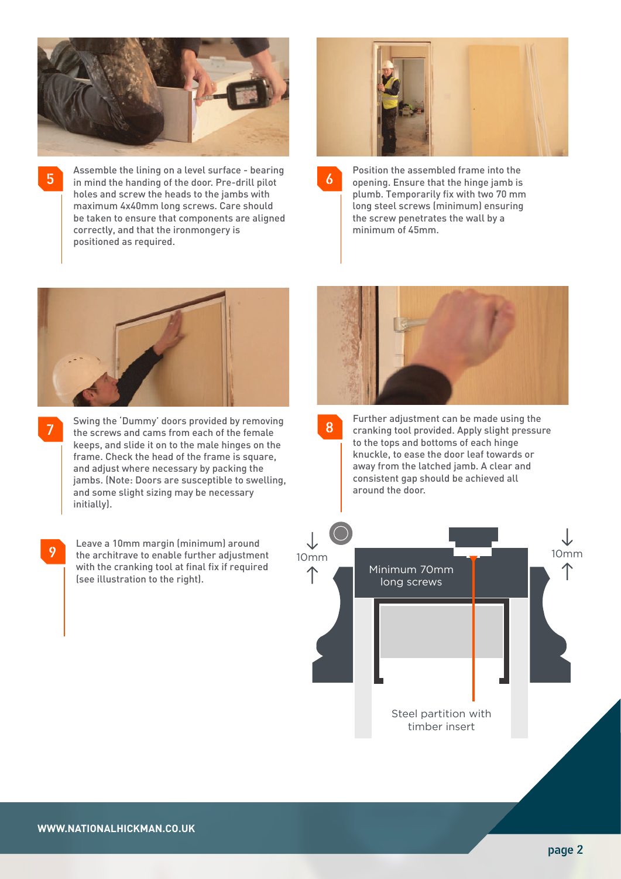

Assemble the lining on a level surface - bearing 5 in mind the handing of the door. Pre-drill pilot holes and screw the heads to the jambs with maximum 4x40mm long screws. Care should be taken to ensure that components are aligned correctly, and that the ironmongery is positioned as required.



8

Position the assembled frame into the opening. Ensure that the hinge jamb is plumb. Temporarily fix with two 70 mm long steel screws (minimum) ensuring the screw penetrates the wall by a minimum of 45mm.



7

Swing the 'Dummy' doors provided by removing the screws and cams from each of the female keeps, and slide it on to the male hinges on the frame. Check the head of the frame is square, and adjust where necessary by packing the jambs. (Note: Doors are susceptible to swelling, and some slight sizing may be necessary initially).

9

Leave a 10mm margin (minimum) around the architrave to enable further adjustment with the cranking tool at final fix if required (see illustration to the right).



Further adjustment can be made using the cranking tool provided. Apply slight pressure to the tops and bottoms of each hinge knuckle, to ease the door leaf towards or away from the latched jamb. A clear and consistent gap should be achieved all around the door.

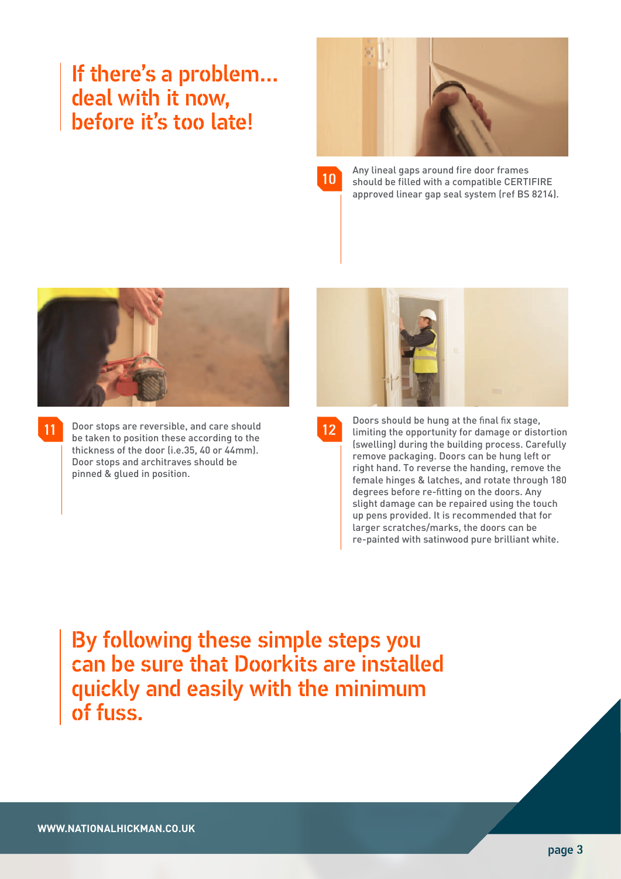# If there's a problem… deal with it now, before it's too late!



| and the state of the state of the state of the state of the state of the state of the state of the state of th        | <b>Service Service</b>                 |
|-----------------------------------------------------------------------------------------------------------------------|----------------------------------------|
| .,                                                                                                                    | <b>STATE</b><br><b>STATE</b><br>×<br>ł |
|                                                                                                                       | $\mathcal{L}(\mathcal{L})$             |
| <b>Contract Contract Contract Contract Contract Contract Contract Contract Contract Contract Contract Contract Co</b> | I<br>ð,<br>٠<br><b>STATISTICS</b>      |

Any lineal gaps around fire door frames should be filled with a compatible CERTIFIRE approved linear gap seal system (ref BS 8214).



11

Door stops are reversible, and care should **12** be taken to position these according to the thickness of the door (i.e.35, 40 or 44mm). Door stops and architraves should be pinned & glued in position.



Doors should be hung at the final fix stage, limiting the opportunity for damage or distortion (swelling) during the building process. Carefully remove packaging. Doors can be hung left or right hand. To reverse the handing, remove the female hinges & latches, and rotate through 180 degrees before re-fitting on the doors. Any slight damage can be repaired using the touch up pens provided. It is recommended that for

> larger scratches/marks, the doors can be re-painted with satinwood pure brilliant white.

By following these simple steps you can be sure that Doorkits are installed quickly and easily with the minimum of fuss.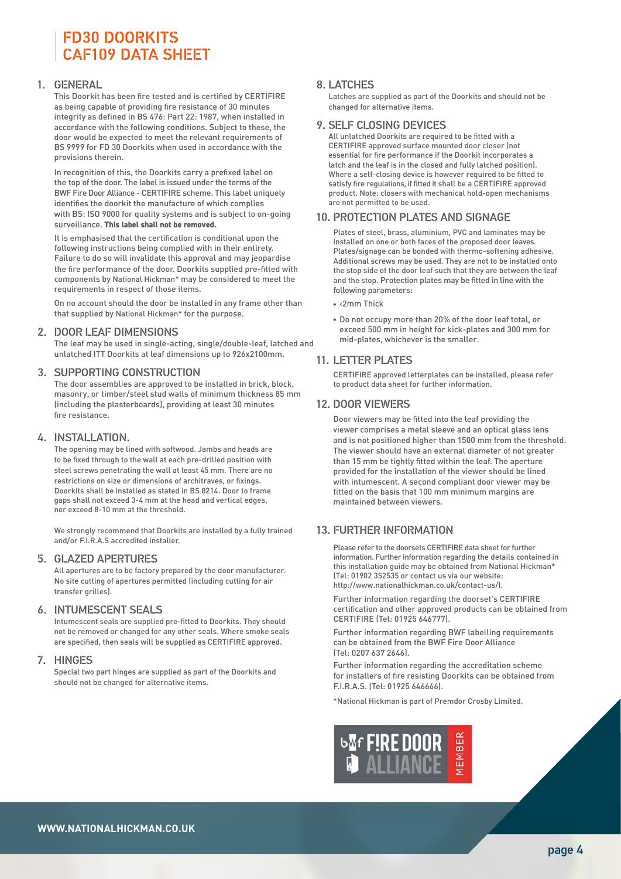### FD30 DOORKITS CAF109 DATA SHEET

#### 1. GENERAL

This Doorkit has been fire tested and is certified by CERTIFIRE as being capable of providing fire resistance of 30 minutes integrity as defined in BS 476: Part 22: 1987, when installed in accordance with the following conditions. Subject to these, the door would be expected to meet the relevant requirements of BS 9999 for FD 30 Doorkits when used in accordance with the provisions therein.

In recognition of this, the Doorkits carry a prefixed label on the top of the door. The label is issued under the terms of the BWF Fire Door Alliance - CERTIFIRE scheme. This label uniquely identifies the doorkit the manufacture of which complies with BS: ISO 9000 for quality systems and is subject to on-going surveillance. **This label shall not be removed.**

It is emphasised that the certification is conditional upon the following instructions being complied with in their entirety. Failure to do so will invalidate this approval and may jeopardise the fire performance of the door. Doorkits supplied pre-fitted with components by National Hickman\* may be considered to meet the requirements in respect of those items.

On no account should the door be installed in any frame other than that supplied by National Hickman\* for the purpose.

#### 2. DOOR LEAF DIMENSIONS

The leaf may be used in single-acting, single/double-leaf, latched and unlatched ITT Doorkits at leaf dimensions up to 926x2100mm.

#### 3. SUPPORTING CONSTRUCTION

The door assemblies are approved to be installed in brick, block, masonry, or timber/steel stud walls of minimum thickness 85 mm (including the plasterboards), providing at least 30 minutes fire resistance.

#### 4. INSTALLATION.

The opening may be lined with softwood. Jambs and heads are to be fixed through to the wall at each pre-drilled position with steel screws penetrating the wall at least 45 mm. There are no restrictions on size or dimensions of architraves, or fixings. Doorkits shall be installed as stated in BS 8214. Door to frame gaps shall not exceed 3-4 mm at the head and vertical edges, nor exceed 8-10 mm at the threshold.

We strongly recommend that Doorkits are installed by a fully trained and/or F.I.R.A.S accredited installer.

#### 5. GLAZED APERTURES

All apertures are to be factory prepared by the door manufacturer. No site cutting of apertures permitted (including cutting for air transfer grilles).

#### 6. INTUMESCENT SEALS

Intumescent seals are supplied pre-fitted to Doorkits. They should not be removed or changed for any other seals. Where smoke seals are specified, then seals will be supplied as CERTIFIRE approved.

#### 7. HINGES

Special two part hinges are supplied as part of the Doorkits and should not be changed for alternative items.

#### 8. LATCHES

Latches are supplied as part of the Doorkits and should not be changed for alternative items.

#### 9. SELF CLOSING DEVICES

All unlatched Doorkits are required to be fitted with a CERTIFIRE approved surface mounted door closer (not essential for fire performance if the Doorkit incorporates a latch and the leaf is in the closed and fully latched position). Where a self-closing device is however required to be fitted to satisfy fire regulations, if fitted it shall be a CERTIFIRE approved product. Note: closers with mechanical hold-open mechanisms are not permitted to be used.

#### 10. PROTECTION PLATES AND SIGNAGE

Plates of steel, brass, aluminium, PVC and laminates may be installed on one or both faces of the proposed door leaves. Plates/signage can be bonded with thermo-softening adhesive. Additional screws may be used. They are not to be installed onto the stop side of the door leaf such that they are between the leaf and the stop. Protection plates may be fitted in line with the following parameters:

- <2mm Thick
- Do not occupy more than 20% of the door leaf total, or exceed 500 mm in height for kick-plates and 300 mm for mid-plates, whichever is the smaller.

#### 11. LETTER PLATES

CERTIFIRE approved letterplates can be installed, please refer to product data sheet for further information.

#### 12. DOOR VIEWERS

Door viewers may be fitted into the leaf providing the viewer comprises a metal sleeve and an optical glass lens and is not positioned higher than 1500 mm from the threshold. The viewer should have an external diameter of not greater than 15 mm be tightly fitted within the leaf. The aperture provided for the installation of the viewer should be lined with intumescent. A second compliant door viewer may be fitted on the basis that 100 mm minimum margins are maintained between viewers.

#### 13. FURTHER INFORMATION

Please refer to the doorsets CERTIFIRE data sheet for further information. Further information regarding the details contained in this installation guide may be obtained from National Hickman\* (Tel: 01902 352535 or contact us via our website: http://www.nationalhickman.co.uk/contact-us/).

Further information regarding the doorset's CERTIFIRE certification and other approved products can be obtained from CERTIFIRE (Tel: 01925 646777).

Further information regarding BWF labelling requirements can be obtained from the BWF Fire Door Alliance (Tel: 0207 637 2646).

Further information regarding the accreditation scheme for installers of fire resisting Doorkits can be obtained from F.I.R.A.S. (Tel: 01925 646666).

\*National Hickman is part of Premdor Crosby Limited.

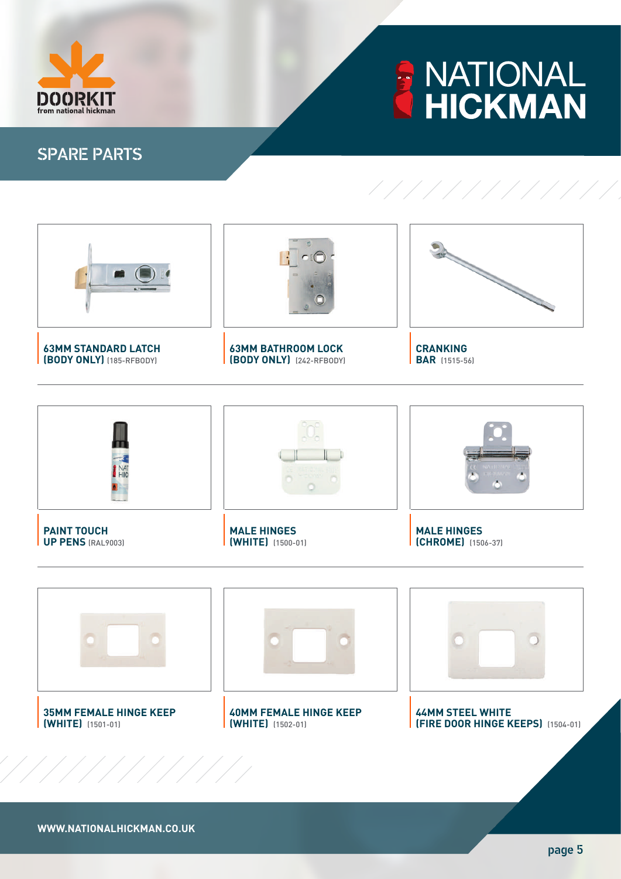

# **ANATIONAL**<br>HICKMAN

///////////

## SPARE PARTS







#### **35MM FEMALE HINGE KEEP (WHITE)** (1501-01)



**40MM FEMALE HINGE KEEP (WHITE)** (1502-01)



**44MM STEEL WHITE (FIRE DOOR HINGE KEEPS)** (1504-01)

**WWW.NATIONALHICKMAN.CO.UK**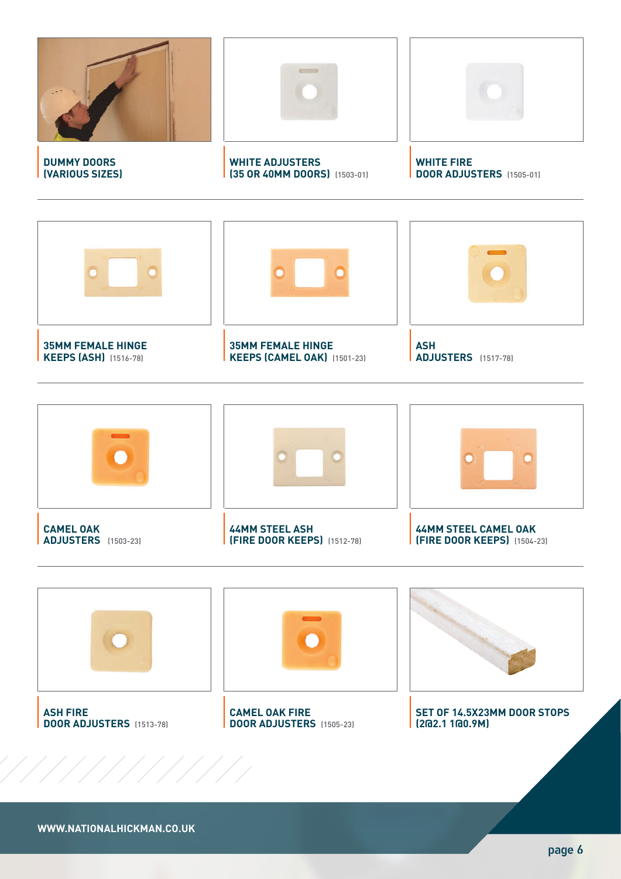





**WWW.NATIONALHICKMAN.CO.UK**